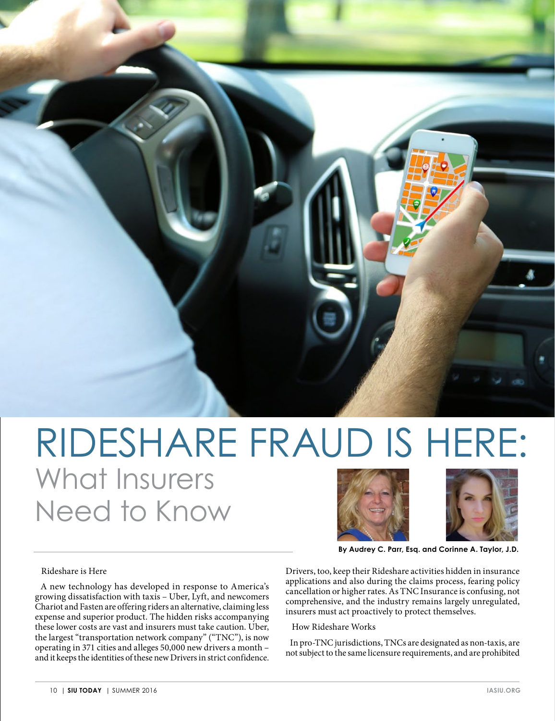

## RIDESHARE FRAUD IS HERE: What Insurers Need to Know





**By Audrey C. Parr, Esq. and Corinne A. Taylor, J.D.** 

## Rideshare is Here

 A new technology has developed in response to America's growing dissatisfaction with taxis  $-$  Uber, Lyft, and newcomers Chariot and Fasten are offering riders an alternative, claiming less expense and superior product. The hidden risks accompanying these lower costs are vast and insurers must take caution. Uber, the largest "transportation network company" ("TNC"), is now operating in 371 cities and alleges 50,000 new drivers a month – and it keeps the identities of these new Drivers in strict confidence.

Drivers, too, keep their Rideshare activities hidden in insurance applications and also during the claims process, fearing policy cancellation or higher rates. As TNC Insurance is confusing, not comprehensive, and the industry remains largely unregulated, insurers must act proactively to protect themselves.

How Rideshare Works

 In pro-TNC jurisdictions, TNCs are designated as non-taxis, are not subject to the same licensure requirements, and are prohibited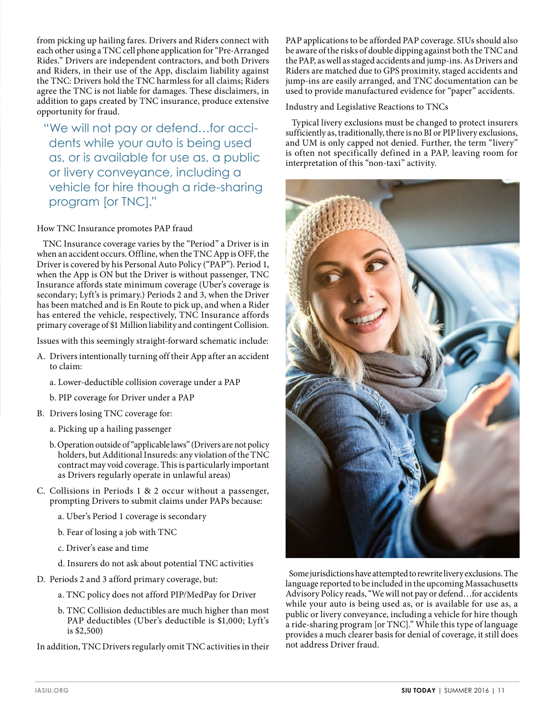from picking up hailing fares. Drivers and Riders connect with each other using a TNC cell phone application for "Pre-Arranged Rides." Drivers are independent contractors, and both Drivers and Riders, in their use of the App, disclaim liability against the TNC: Drivers hold the TNC harmless for all claims; Riders agree the TNC is not liable for damages. These disclaimers, in addition to gaps created by TNC insurance, produce extensive opportunity for fraud.

"We will not pay or defend…for accidents while your auto is being used as, or is available for use as, a public or livery conveyance, including a vehicle for hire though a ride-sharing program [or TNC]."

## How TNC Insurance promotes PAP fraud

 TNC Insurance coverage varies by the "Period" a Driver is in when an accident occurs. Offline, when the TNC App is OFF, the Driver is covered by his Personal Auto Policy ("PAP"). Period 1, when the App is ON but the Driver is without passenger, TNC Insurance affords state minimum coverage (Uber's coverage is secondary; Lyft's is primary.) Periods 2 and 3, when the Driver has been matched and is En Route to pick up, and when a Rider has entered the vehicle, respectively, TNC Insurance affords primary coverage of \$1 Million liability and contingent Collision.

Issues with this seemingly straight-forward schematic include:

- A. Drivers intentionally turning off their App after an accident to claim:
	- a. Lower-deductible collision coverage under a PAP
	- b. PIP coverage for Driver under a PAP
- B. Drivers losing TNC coverage for:
	- a. Picking up a hailing passenger
	- b. Operation outside of "applicable laws" (Drivers are not policy holders, but Additional Insureds: any violation of the TNC contract may void coverage. This is particularly important as Drivers regularly operate in unlawful areas)
- C. Collisions in Periods 1 & 2 occur without a passenger, prompting Drivers to submit claims under PAPs because:
	- a. Uber's Period 1 coverage is secondary
	- b. Fear of losing a job with TNC
	- c. Driver's ease and time
	- d. Insurers do not ask about potential TNC activities
- D. Periods 2 and 3 afford primary coverage, but:
	- a. TNC policy does not afford PIP/MedPay for Driver
	- b. TNC Collision deductibles are much higher than most PAP deductibles (Uber's deductible is \$1,000; Lyft's is \$2,500)

In addition, TNC Drivers regularly omit TNC activities in their

PAP applications to be afforded PAP coverage. SIUs should also be aware of the risks of double dipping against both the TNC and the PAP, as well as staged accidents and jump-ins. As Drivers and Riders are matched due to GPS proximity, staged accidents and jump-ins are easily arranged, and TNC documentation can be used to provide manufactured evidence for "paper" accidents.

Industry and Legislative Reactions to TNCs

 Typical livery exclusions must be changed to protect insurers sufficiently as, traditionally, there is no BI or PIP livery exclusions, and UM is only capped not denied. Further, the term "livery" is often not specifically defined in a PAP, leaving room for interpretation of this "non-taxi" activity.



 Some jurisdictions have attempted to rewrite livery exclusions. The language reported to be included in the upcoming Massachusetts Advisory Policy reads, "We will not pay or defend…for accidents while your auto is being used as, or is available for use as, a public or livery conveyance, including a vehicle for hire though a ride-sharing program [or TNC]." While this type of language provides a much clearer basis for denial of coverage, it still does not address Driver fraud.